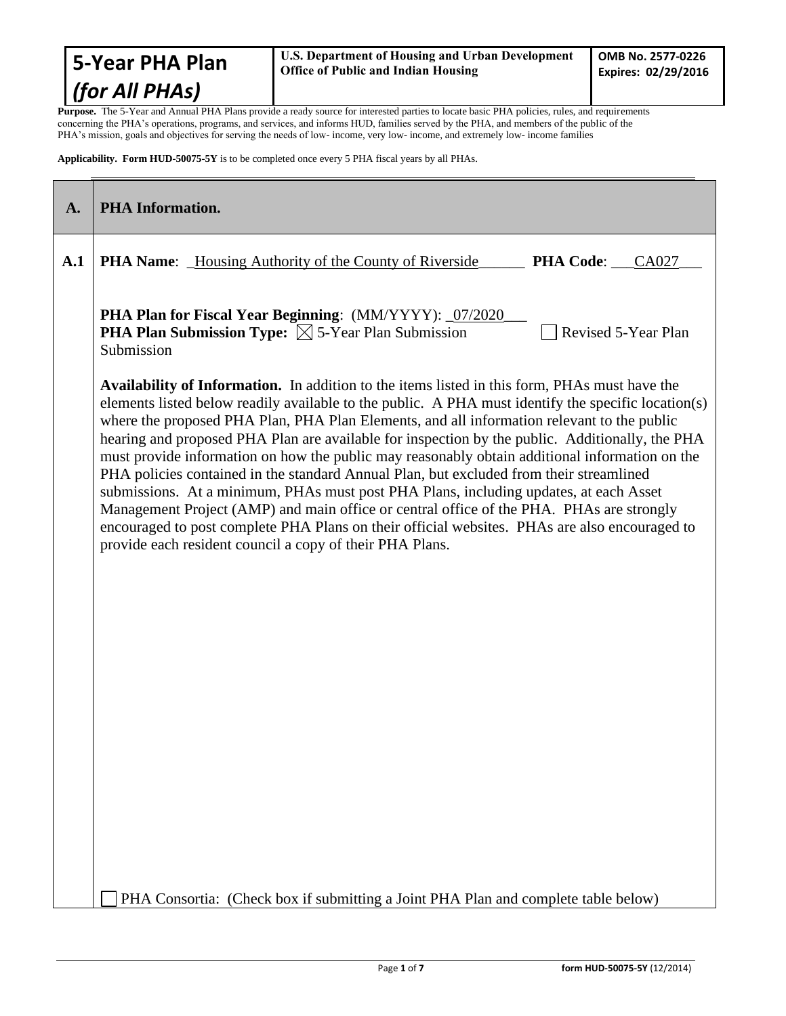Purpose. The 5-Year and Annual PHA Plans provide a ready source for interested parties to locate basic PHA policies, rules, and requirements concerning the PHA's operations, programs, and services, and informs HUD, families served by the PHA, and members of the public of the PHA's mission, goals and objectives for serving the needs of low- income, very low- income, and extremely low- income families

**Applicability. Form HUD-50075-5Y** is to be completed once every 5 PHA fiscal years by all PHAs.

| $\mathbf{A}$ . | <b>PHA Information.</b>                                                                                                                                                                                                                                                                                                                                                                                                                                                                                                                                                                                                                                                                                                                                                                                                                                                                                                                                     |
|----------------|-------------------------------------------------------------------------------------------------------------------------------------------------------------------------------------------------------------------------------------------------------------------------------------------------------------------------------------------------------------------------------------------------------------------------------------------------------------------------------------------------------------------------------------------------------------------------------------------------------------------------------------------------------------------------------------------------------------------------------------------------------------------------------------------------------------------------------------------------------------------------------------------------------------------------------------------------------------|
| A.1            | <b>PHA Name:</b> _Housing Authority of the County of Riverside<br><b>PHA Code:</b> CA027                                                                                                                                                                                                                                                                                                                                                                                                                                                                                                                                                                                                                                                                                                                                                                                                                                                                    |
|                | PHA Plan for Fiscal Year Beginning: (MM/YYYY): 07/2020<br><b>PHA Plan Submission Type:</b> $\boxtimes$ 5-Year Plan Submission<br>Revised 5-Year Plan<br>Submission                                                                                                                                                                                                                                                                                                                                                                                                                                                                                                                                                                                                                                                                                                                                                                                          |
|                | <b>Availability of Information.</b> In addition to the items listed in this form, PHAs must have the<br>elements listed below readily available to the public. A PHA must identify the specific location(s)<br>where the proposed PHA Plan, PHA Plan Elements, and all information relevant to the public<br>hearing and proposed PHA Plan are available for inspection by the public. Additionally, the PHA<br>must provide information on how the public may reasonably obtain additional information on the<br>PHA policies contained in the standard Annual Plan, but excluded from their streamlined<br>submissions. At a minimum, PHAs must post PHA Plans, including updates, at each Asset<br>Management Project (AMP) and main office or central office of the PHA. PHAs are strongly<br>encouraged to post complete PHA Plans on their official websites. PHAs are also encouraged to<br>provide each resident council a copy of their PHA Plans. |
|                |                                                                                                                                                                                                                                                                                                                                                                                                                                                                                                                                                                                                                                                                                                                                                                                                                                                                                                                                                             |
|                |                                                                                                                                                                                                                                                                                                                                                                                                                                                                                                                                                                                                                                                                                                                                                                                                                                                                                                                                                             |
|                |                                                                                                                                                                                                                                                                                                                                                                                                                                                                                                                                                                                                                                                                                                                                                                                                                                                                                                                                                             |
|                | PHA Consortia: (Check box if submitting a Joint PHA Plan and complete table below)                                                                                                                                                                                                                                                                                                                                                                                                                                                                                                                                                                                                                                                                                                                                                                                                                                                                          |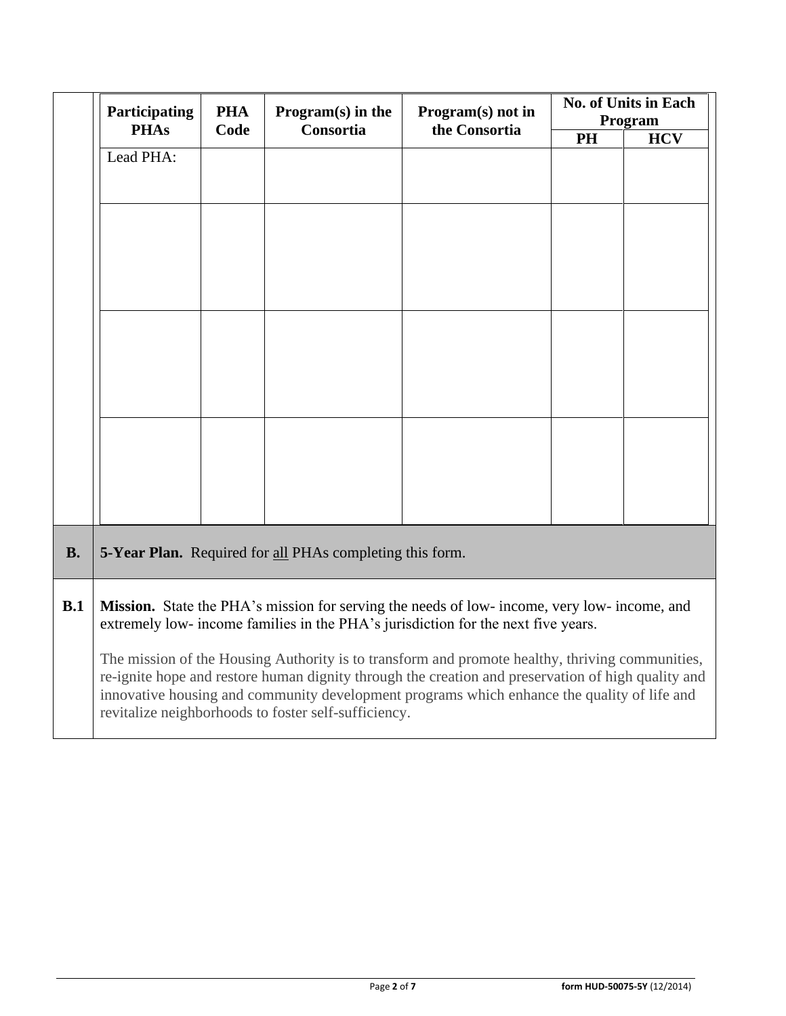|           | Participating<br><b>PHAs</b>                                                                                                                                                                                                                                                                                                                                 | <b>PHA</b><br>Program $(s)$ in the | Program(s) not in                                               | No. of Units in Each<br>Program |    |            |
|-----------|--------------------------------------------------------------------------------------------------------------------------------------------------------------------------------------------------------------------------------------------------------------------------------------------------------------------------------------------------------------|------------------------------------|-----------------------------------------------------------------|---------------------------------|----|------------|
|           |                                                                                                                                                                                                                                                                                                                                                              | Code                               | Consortia                                                       | the Consortia                   | PH | <b>HCV</b> |
|           | Lead PHA:                                                                                                                                                                                                                                                                                                                                                    |                                    |                                                                 |                                 |    |            |
|           |                                                                                                                                                                                                                                                                                                                                                              |                                    |                                                                 |                                 |    |            |
|           |                                                                                                                                                                                                                                                                                                                                                              |                                    |                                                                 |                                 |    |            |
|           |                                                                                                                                                                                                                                                                                                                                                              |                                    |                                                                 |                                 |    |            |
|           |                                                                                                                                                                                                                                                                                                                                                              |                                    |                                                                 |                                 |    |            |
|           |                                                                                                                                                                                                                                                                                                                                                              |                                    |                                                                 |                                 |    |            |
|           |                                                                                                                                                                                                                                                                                                                                                              |                                    |                                                                 |                                 |    |            |
|           |                                                                                                                                                                                                                                                                                                                                                              |                                    |                                                                 |                                 |    |            |
|           |                                                                                                                                                                                                                                                                                                                                                              |                                    |                                                                 |                                 |    |            |
|           |                                                                                                                                                                                                                                                                                                                                                              |                                    |                                                                 |                                 |    |            |
|           |                                                                                                                                                                                                                                                                                                                                                              |                                    |                                                                 |                                 |    |            |
|           |                                                                                                                                                                                                                                                                                                                                                              |                                    |                                                                 |                                 |    |            |
|           |                                                                                                                                                                                                                                                                                                                                                              |                                    |                                                                 |                                 |    |            |
|           |                                                                                                                                                                                                                                                                                                                                                              |                                    |                                                                 |                                 |    |            |
|           |                                                                                                                                                                                                                                                                                                                                                              |                                    |                                                                 |                                 |    |            |
|           |                                                                                                                                                                                                                                                                                                                                                              |                                    |                                                                 |                                 |    |            |
| <b>B.</b> |                                                                                                                                                                                                                                                                                                                                                              |                                    | <b>5-Year Plan.</b> Required for all PHAs completing this form. |                                 |    |            |
| B.1       | Mission. State the PHA's mission for serving the needs of low- income, very low- income, and<br>extremely low- income families in the PHA's jurisdiction for the next five years.                                                                                                                                                                            |                                    |                                                                 |                                 |    |            |
|           | The mission of the Housing Authority is to transform and promote healthy, thriving communities,<br>re-ignite hope and restore human dignity through the creation and preservation of high quality and<br>innovative housing and community development programs which enhance the quality of life and<br>revitalize neighborhoods to foster self-sufficiency. |                                    |                                                                 |                                 |    |            |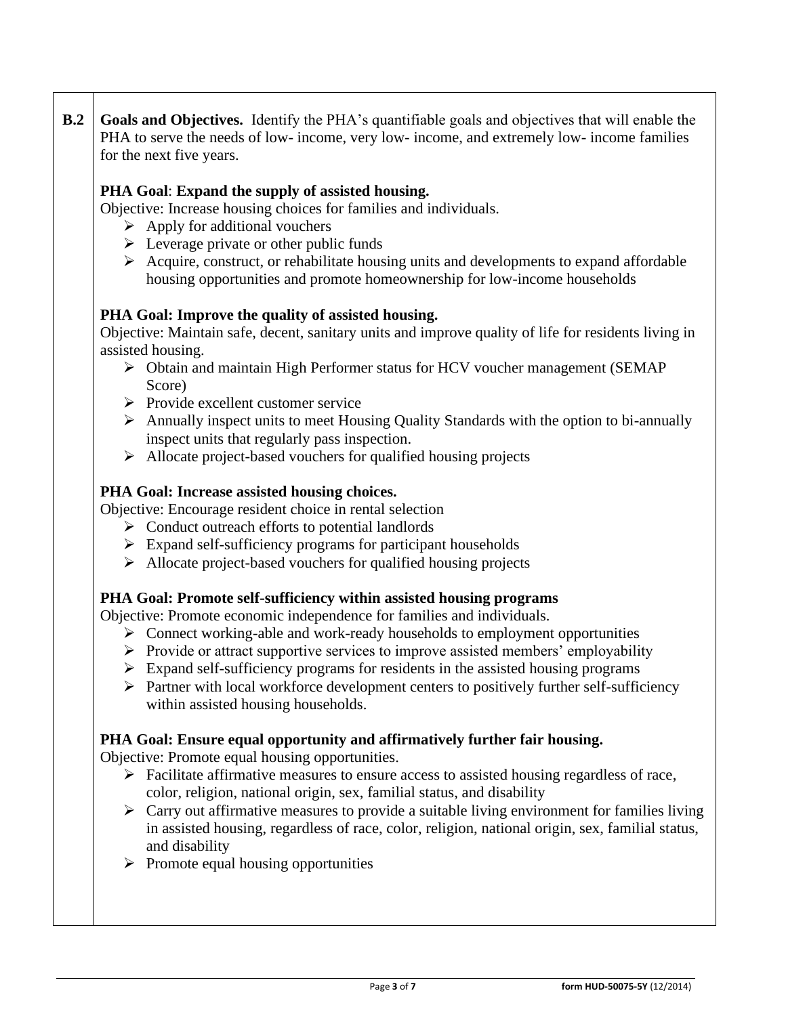**B.2 Goals and Objectives.** Identify the PHA's quantifiable goals and objectives that will enable the PHA to serve the needs of low- income, very low- income, and extremely low- income families for the next five years.

## **PHA Goal**: **Expand the supply of assisted housing.**

Objective: Increase housing choices for families and individuals.

- $\triangleright$  Apply for additional vouchers
- $\triangleright$  Leverage private or other public funds
- ➢ Acquire, construct, or rehabilitate housing units and developments to expand affordable housing opportunities and promote homeownership for low-income households

## **PHA Goal: Improve the quality of assisted housing.**

Objective: Maintain safe, decent, sanitary units and improve quality of life for residents living in assisted housing.

- ➢ Obtain and maintain High Performer status for HCV voucher management (SEMAP Score)
- ➢ Provide excellent customer service
- ➢ Annually inspect units to meet Housing Quality Standards with the option to bi-annually inspect units that regularly pass inspection.
- ➢ Allocate project-based vouchers for qualified housing projects

#### **PHA Goal: Increase assisted housing choices.**

Objective: Encourage resident choice in rental selection

- ➢ Conduct outreach efforts to potential landlords
- ➢ Expand self-sufficiency programs for participant households
- ➢ Allocate project-based vouchers for qualified housing projects

#### **PHA Goal: Promote self-sufficiency within assisted housing programs**

Objective: Promote economic independence for families and individuals.

- ➢ Connect working-able and work-ready households to employment opportunities
- ➢ Provide or attract supportive services to improve assisted members' employability
- $\triangleright$  Expand self-sufficiency programs for residents in the assisted housing programs
- ➢ Partner with local workforce development centers to positively further self-sufficiency within assisted housing households.

#### **PHA Goal: Ensure equal opportunity and affirmatively further fair housing.**

Objective: Promote equal housing opportunities.

- ➢ Facilitate affirmative measures to ensure access to assisted housing regardless of race, color, religion, national origin, sex, familial status, and disability
- $\triangleright$  Carry out affirmative measures to provide a suitable living environment for families living in assisted housing, regardless of race, color, religion, national origin, sex, familial status, and disability
- $\triangleright$  Promote equal housing opportunities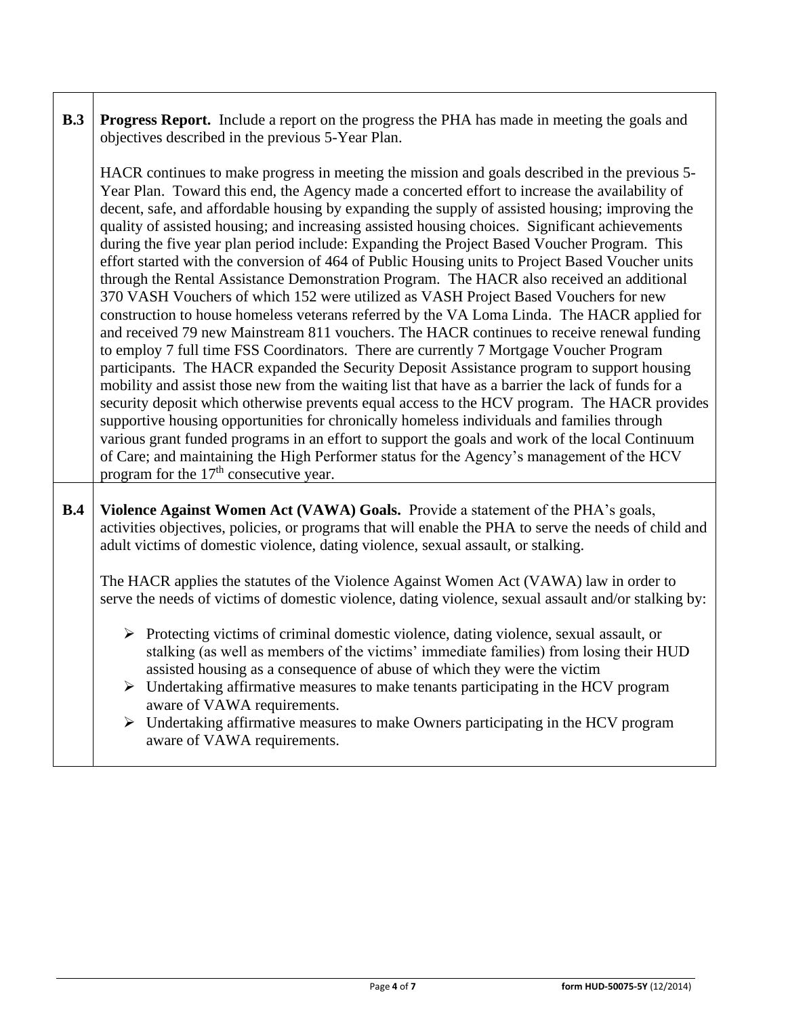| B.3 | <b>Progress Report.</b> Include a report on the progress the PHA has made in meeting the goals and<br>objectives described in the previous 5-Year Plan.                                                                                                                                                                                                                                                                                                                                                                                                                                                                                                                                                                                                                                                                                                                                                                                                                                                                                                                                                                                                                                                                                                                                                                                                                                                                                                                                                                                                                                                                                                                              |  |  |  |  |  |
|-----|--------------------------------------------------------------------------------------------------------------------------------------------------------------------------------------------------------------------------------------------------------------------------------------------------------------------------------------------------------------------------------------------------------------------------------------------------------------------------------------------------------------------------------------------------------------------------------------------------------------------------------------------------------------------------------------------------------------------------------------------------------------------------------------------------------------------------------------------------------------------------------------------------------------------------------------------------------------------------------------------------------------------------------------------------------------------------------------------------------------------------------------------------------------------------------------------------------------------------------------------------------------------------------------------------------------------------------------------------------------------------------------------------------------------------------------------------------------------------------------------------------------------------------------------------------------------------------------------------------------------------------------------------------------------------------------|--|--|--|--|--|
|     | HACR continues to make progress in meeting the mission and goals described in the previous 5-<br>Year Plan. Toward this end, the Agency made a concerted effort to increase the availability of<br>decent, safe, and affordable housing by expanding the supply of assisted housing; improving the<br>quality of assisted housing; and increasing assisted housing choices. Significant achievements<br>during the five year plan period include: Expanding the Project Based Voucher Program. This<br>effort started with the conversion of 464 of Public Housing units to Project Based Voucher units<br>through the Rental Assistance Demonstration Program. The HACR also received an additional<br>370 VASH Vouchers of which 152 were utilized as VASH Project Based Vouchers for new<br>construction to house homeless veterans referred by the VA Loma Linda. The HACR applied for<br>and received 79 new Mainstream 811 vouchers. The HACR continues to receive renewal funding<br>to employ 7 full time FSS Coordinators. There are currently 7 Mortgage Voucher Program<br>participants. The HACR expanded the Security Deposit Assistance program to support housing<br>mobility and assist those new from the waiting list that have as a barrier the lack of funds for a<br>security deposit which otherwise prevents equal access to the HCV program. The HACR provides<br>supportive housing opportunities for chronically homeless individuals and families through<br>various grant funded programs in an effort to support the goals and work of the local Continuum<br>of Care; and maintaining the High Performer status for the Agency's management of the HCV |  |  |  |  |  |
| B.4 | Violence Against Women Act (VAWA) Goals. Provide a statement of the PHA's goals,<br>activities objectives, policies, or programs that will enable the PHA to serve the needs of child and<br>adult victims of domestic violence, dating violence, sexual assault, or stalking.<br>The HACR applies the statutes of the Violence Against Women Act (VAWA) law in order to<br>serve the needs of victims of domestic violence, dating violence, sexual assault and/or stalking by:<br>Protecting victims of criminal domestic violence, dating violence, sexual assault, or<br>➤                                                                                                                                                                                                                                                                                                                                                                                                                                                                                                                                                                                                                                                                                                                                                                                                                                                                                                                                                                                                                                                                                                       |  |  |  |  |  |
|     | stalking (as well as members of the victims' immediate families) from losing their HUD<br>assisted housing as a consequence of abuse of which they were the victim<br>$\triangleright$ Undertaking affirmative measures to make tenants participating in the HCV program<br>aware of VAWA requirements.<br>$\triangleright$ Undertaking affirmative measures to make Owners participating in the HCV program<br>aware of VAWA requirements.                                                                                                                                                                                                                                                                                                                                                                                                                                                                                                                                                                                                                                                                                                                                                                                                                                                                                                                                                                                                                                                                                                                                                                                                                                          |  |  |  |  |  |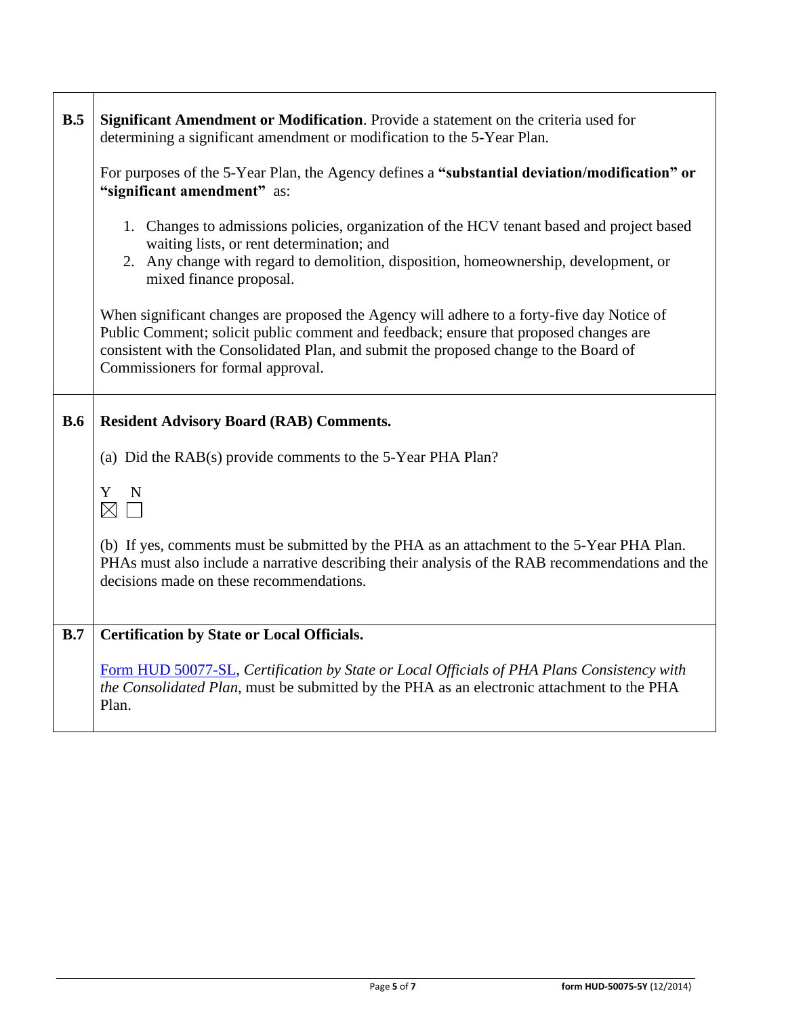| B.5        | Significant Amendment or Modification. Provide a statement on the criteria used for<br>determining a significant amendment or modification to the 5-Year Plan.                                                                                                                                                     |  |  |  |  |
|------------|--------------------------------------------------------------------------------------------------------------------------------------------------------------------------------------------------------------------------------------------------------------------------------------------------------------------|--|--|--|--|
|            | For purposes of the 5-Year Plan, the Agency defines a "substantial deviation/modification" or<br>"significant amendment" as:                                                                                                                                                                                       |  |  |  |  |
|            | 1. Changes to admissions policies, organization of the HCV tenant based and project based<br>waiting lists, or rent determination; and<br>2. Any change with regard to demolition, disposition, homeownership, development, or<br>mixed finance proposal.                                                          |  |  |  |  |
|            | When significant changes are proposed the Agency will adhere to a forty-five day Notice of<br>Public Comment; solicit public comment and feedback; ensure that proposed changes are<br>consistent with the Consolidated Plan, and submit the proposed change to the Board of<br>Commissioners for formal approval. |  |  |  |  |
| <b>B.6</b> | <b>Resident Advisory Board (RAB) Comments.</b>                                                                                                                                                                                                                                                                     |  |  |  |  |
|            | (a) Did the RAB(s) provide comments to the 5-Year PHA Plan?                                                                                                                                                                                                                                                        |  |  |  |  |
|            | N<br>Y<br>$\boxtimes$                                                                                                                                                                                                                                                                                              |  |  |  |  |
|            | (b) If yes, comments must be submitted by the PHA as an attachment to the 5-Year PHA Plan.<br>PHAs must also include a narrative describing their analysis of the RAB recommendations and the<br>decisions made on these recommendations.                                                                          |  |  |  |  |
| B.7        | <b>Certification by State or Local Officials.</b>                                                                                                                                                                                                                                                                  |  |  |  |  |
|            | Form HUD 50077-SL, Certification by State or Local Officials of PHA Plans Consistency with<br>the Consolidated Plan, must be submitted by the PHA as an electronic attachment to the PHA<br>Plan.                                                                                                                  |  |  |  |  |

 $\Gamma$ 

┯

٦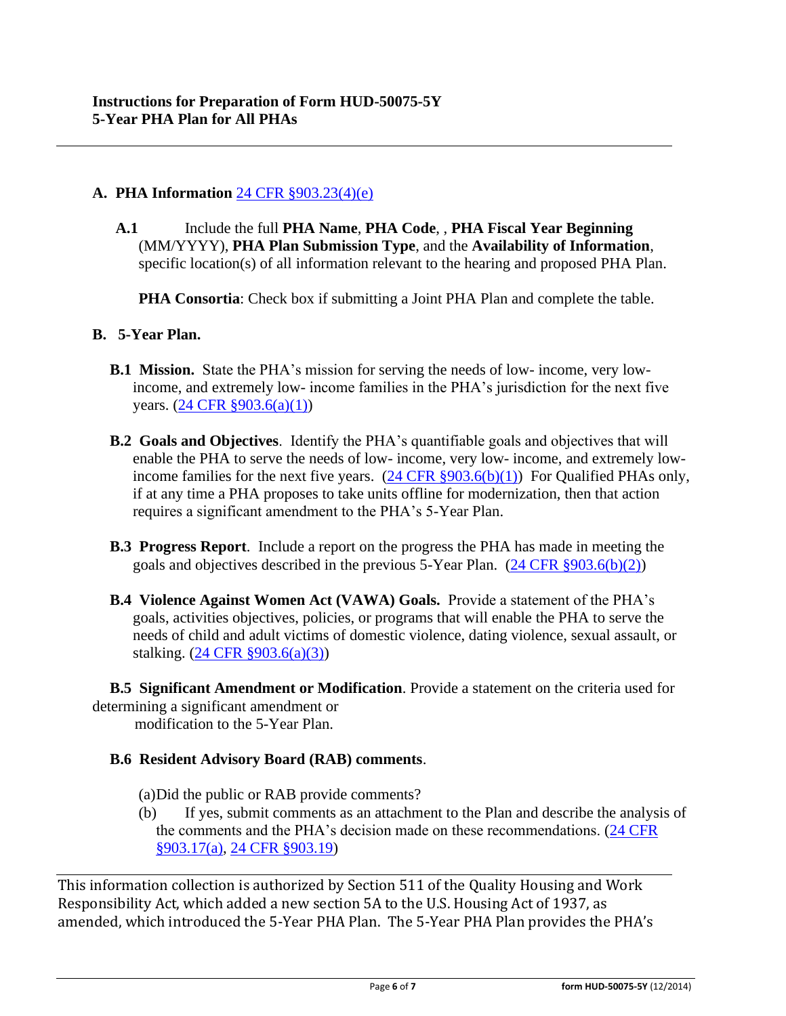## **A. PHA Information** [24 CFR §903.23\(4\)\(e\)](http://ecfr.gpoaccess.gov/cgi/t/text/text-idx?c=ecfr&sid=13734845220744370804c20da2294a03&rgn=div5&view=text&node=24:4.0.3.1.3&idno=24#24:4.0.3.1.3.2.5.14)

**A.1** Include the full **PHA Name**, **PHA Code**, , **PHA Fiscal Year Beginning**  (MM/YYYY), **PHA Plan Submission Type**, and the **Availability of Information**, specific location(s) of all information relevant to the hearing and proposed PHA Plan.

**PHA Consortia**: Check box if submitting a Joint PHA Plan and complete the table.

#### **B. 5-Year Plan.**

- **B.1 Mission.** State the PHA's mission for serving the needs of low- income, very lowincome, and extremely low- income families in the PHA's jurisdiction for the next five years. [\(24 CFR §903.6\(a\)\(1\)\)](http://ecfr.gpoaccess.gov/cgi/t/text/text-idx?c=ecfr&sid=13734845220744370804c20da2294a03&rgn=div5&view=text&node=24:4.0.3.1.3&idno=24#24:4.0.3.1.3.2.5.4)
- **B.2 Goals and Objectives**. Identify the PHA's quantifiable goals and objectives that will enable the PHA to serve the needs of low- income, very low- income, and extremely lowincome families for the next five years.  $(24 \text{ CFR } \S 903.6(b)(1))$  For Qualified PHAs only, if at any time a PHA proposes to take units offline for modernization, then that action requires a significant amendment to the PHA's 5-Year Plan.
- **B.3 Progress Report**. Include a report on the progress the PHA has made in meeting the goals and objectives described in the previous 5-Year Plan.  $(24 \text{ CFR } \text{\textless} 903.6(b)(2))$
- **B.4 Violence Against Women Act (VAWA) Goals.** Provide a statement of the PHA's goals, activities objectives, policies, or programs that will enable the PHA to serve the needs of child and adult victims of domestic violence, dating violence, sexual assault, or stalking. [\(24 CFR §903.6\(a\)\(3\)\)](http://ecfr.gpoaccess.gov/cgi/t/text/text-idx?c=ecfr&sid=13734845220744370804c20da2294a03&rgn=div5&view=text&node=24:4.0.3.1.3&idno=24#24:4.0.3.1.3.2.5.4)

**B.5 Significant Amendment or Modification**. Provide a statement on the criteria used for determining a significant amendment or modification to the 5-Year Plan.

# **B.6 Resident Advisory Board (RAB) comments**.

(a)Did the public or RAB provide comments?

(b) If yes, submit comments as an attachment to the Plan and describe the analysis of the comments and the PHA's decision made on these recommendations. [\(24 CFR](file:///C:/Documents%20and%20Settings/h18613/Local%20Settings/Temporary%20Internet%20Files/Content.Outlook/Application%20Data/Microsoft/24%20CFR%20903.17(a).htm)  [§903.17\(a\),](file:///C:/Documents%20and%20Settings/h18613/Local%20Settings/Temporary%20Internet%20Files/Content.Outlook/Application%20Data/Microsoft/24%20CFR%20903.17(a).htm) [24 CFR §903.19\)](http://ecfr.gpoaccess.gov/cgi/t/text/text-idx?c=ecfr&sid=f41eb312b1425d2a95a2478fde61e11f&rgn=div5&view=text&node=24:4.0.3.1.3&idno=24#24:4.0.3.1.3.2.5.12)

This information collection is authorized by Section 511 of the Quality Housing and Work Responsibility Act, which added a new section 5A to the U.S. Housing Act of 1937, as amended, which introduced the 5-Year PHA Plan. The 5-Year PHA Plan provides the PHA's